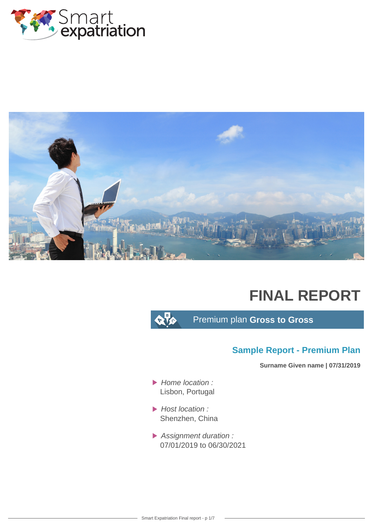



# **FINAL REPORT**

 $\alpha$  to

Premium plan **Gross to Gross**

## **Sample Report - Premium Plan**

**Surname Given name | 07/31/2019**

- $\blacktriangleright$  Home location : Lisbon, Portugal
- $\blacktriangleright$  Host location : Shenzhen, China
- Assignment duration : 07/01/2019 to 06/30/2021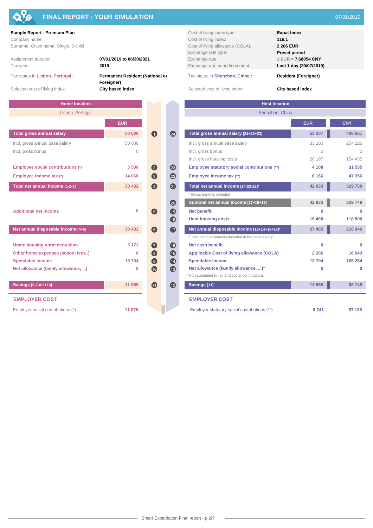

## **FINAL REPORT : YOUR SIMULATION** 07/31/2019

### **Sample Report - Premium Plan Cost of living index type: Expat Index Expat Index**

Tax status in **Lisbon, Portugal : Permanent Resident (National or**

Assignment duration: **07/01/2019 to 06/30/2021** Exchange rate:<br> **2019 Exchange rate** 

**Foreigner)**

| <b>Home location</b>               |            |                    |                  | <b>Host location</b>                               |
|------------------------------------|------------|--------------------|------------------|----------------------------------------------------|
| Lisbon, Portugal                   |            |                    |                  | Shenzhen, China                                    |
|                                    | <b>EUR</b> |                    |                  |                                                    |
| <b>Total gross annual salary</b>   | 50 000     | $\blacksquare$     | 24               | Total gross annual salary [21+22+23]               |
| Incl. gross annual base salary     | 50 000     |                    |                  | Incl. gross annual base salary                     |
| Incl. gross bonus                  | $\Omega$   |                    |                  | Incl. gross bonus                                  |
|                                    |            |                    |                  | Incl. gross housing costs                          |
| Employee social contributions (*)  | 5 500      | $\left( 2\right)$  | 23               | Employee statutory social contributions (**)       |
| Employee income tax (*)            | 14 068     | 3                  | $\overline{22}$  | Employee income tax (**)                           |
| Total net annual income [1-2-3]    | 30 432     | $\left( 4\right)$  | 20               | Total net annual income [24-23-22]*                |
|                                    |            |                    |                  | * Gross benefits included                          |
|                                    |            |                    | 20               | Subtotal net annual income [17+18+19]              |
| <b>Additional net income</b>       | $\bf{0}$   | $\left(5\right)$   | $\bigoplus$      | <b>Net benefit</b>                                 |
|                                    |            |                    | (18)             | <b>Host housing costs</b>                          |
| Net annual disposable income [4+5] | 30 432     | $\left( 6\right)$  | $\mathbf \Omega$ | Net annual disposable income [12+14+15+16]*        |
|                                    |            |                    |                  | * Total net components included in the base salary |
| Home housing norm deduction        | 5 1 7 3    | $\left( 7\right)$  | (16)             | Net cash benefit                                   |
| Other home expenses (school fees)  | 0          | $\left( 8 \right)$ | $\bigoplus$      | <b>Applicable Cost of living allowance (COLA)</b>  |
| <b>Spendable income</b>            | 13704      | $\left( 9\right)$  | $\bullet$        | <b>Spendable income</b>                            |
| Net allowance (family allowance, ) | 0          | 10                 | $\bigoplus$      | Net allowance (family allowance, )*                |
|                                    |            |                    |                  | * Non submitted to tax and social contributions    |
| Savings [6-7-8-9+10]               | 11 555     | $\mathbf{D}$       | $\mathbf{L}$     | Savings [11]                                       |
| <b>EMPLOYER COST</b>               |            |                    |                  | <b>EMPLOYER COST</b>                               |
| Employer social contributions (*)  | 11875      |                    |                  | Employer statutory social contributions (**)       |

Company name **116.1** Cost of living index: **116.1** Cost of living index: **116.1** Surname, Given name, Single, 0 child **Cost of living allowance (COLA): 2 206 EUR**<br> **2 206 EUR** Exchange rate type: **Preset period**<br>Exchange rate: **Preset period**<br>**Exchange rate: Preset period** Tax year: **2019** Exchange rate period/comment: **Last 1 day (30/07/2019)**

Tax status in **Shenzhen, China : Resident (Foreigner)**

Selected cost of living index: **City based index** Selected cost of living index: **City based index** Selected cost of living index:

| <b>Home location</b>               |             |                   |                 | <b>Host location</b><br>Shenzhen, China<br><b>CNY</b><br><b>EUR</b><br>53 207<br>408 661<br>254 226<br>33 100<br>$\Omega$<br>$\bigcap$<br>154 435<br>20 107<br>4 108<br>31 555<br>6 1 6 6<br>47 356 |          |          |  |  |  |  |
|------------------------------------|-------------|-------------------|-----------------|-----------------------------------------------------------------------------------------------------------------------------------------------------------------------------------------------------|----------|----------|--|--|--|--|
| Lisbon, Portugal                   |             |                   |                 |                                                                                                                                                                                                     |          |          |  |  |  |  |
|                                    | <b>EUR</b>  |                   |                 |                                                                                                                                                                                                     |          |          |  |  |  |  |
| <b>Total gross annual salary</b>   | 50 000      | $\blacksquare$    | 24              | Total gross annual salary [21+22+23]                                                                                                                                                                |          |          |  |  |  |  |
| Incl. gross annual base salary     | 50 000      |                   |                 | Incl. gross annual base salary                                                                                                                                                                      |          |          |  |  |  |  |
| Incl. gross bonus                  | $\Omega$    |                   |                 | Incl. gross bonus                                                                                                                                                                                   |          |          |  |  |  |  |
|                                    |             |                   |                 | Incl. gross housing costs                                                                                                                                                                           |          |          |  |  |  |  |
| Employee social contributions (*)  | 5 500       | $\bullet$         | $\overline{23}$ | Employee statutory social contributions (**)                                                                                                                                                        |          |          |  |  |  |  |
| Employee income tax (*)            | 14 068      | 8                 | 2               | Employee income tax (**)                                                                                                                                                                            |          |          |  |  |  |  |
| Total net annual income [1-2-3]    | 30 432      | $\left( 4\right)$ | 0               | Total net annual income [24-23-22]*                                                                                                                                                                 | 42 933   | 329 750  |  |  |  |  |
|                                    |             |                   |                 | * Gross benefits included                                                                                                                                                                           |          |          |  |  |  |  |
|                                    |             |                   | $\overline{20}$ | Subtotal net annual income [17+18+19]                                                                                                                                                               | 42 933   | 329 749  |  |  |  |  |
| <b>Additional net income</b>       | $\mathbf 0$ | 6                 | (19)            | <b>Net benefit</b>                                                                                                                                                                                  | $\Omega$ | $\Omega$ |  |  |  |  |
|                                    |             |                   | $\bigcirc$      | <b>Host housing costs</b>                                                                                                                                                                           | 15 4 68  | 118 800  |  |  |  |  |
| Net annual disposable income [4+5] | 30 432      | $\bullet$         | $\bigoplus$     | Net annual disposable income [12+14+15+16]*                                                                                                                                                         | 27 4 65  | 210 946  |  |  |  |  |
|                                    |             |                   |                 | * Total net components included in the base salary                                                                                                                                                  |          |          |  |  |  |  |
| Home housing norm deduction        | 5 1 7 3     | $\bullet$         | $\overline{16}$ | Net cash benefit                                                                                                                                                                                    | $\Omega$ | $\Omega$ |  |  |  |  |
| Other home expenses (school fees)  | 0           | 8                 | $\bf \Phi$      | <b>Applicable Cost of living allowance (COLA)</b>                                                                                                                                                   | 2 2 0 6  | 16 943   |  |  |  |  |
| <b>Spendable income</b>            | 13704       | $\bullet$         | $\overline{14}$ | Spendable income                                                                                                                                                                                    | 13704    | 105 254  |  |  |  |  |
| Net allowance (family allowance, ) | 0           | 10                | $\bigcirc$      | Net allowance (family allowance, )*                                                                                                                                                                 | $\bf{0}$ | $\bf{0}$ |  |  |  |  |
|                                    |             |                   |                 | * Non submitted to tax and social contributions                                                                                                                                                     |          |          |  |  |  |  |
| Savings [6-7-8-9+10]               | 11 555      | $\bullet$         | $\mathbf{L}$    | Savings [11]                                                                                                                                                                                        | 11 555   | 88749    |  |  |  |  |
| <b>EMPLOYER COST</b>               |             |                   |                 | <b>EMPLOYER COST</b>                                                                                                                                                                                |          |          |  |  |  |  |
| Employer social contributions (*)  | 11875       |                   |                 | Employer statutory social contributions (**)                                                                                                                                                        | 8741     | 67 138   |  |  |  |  |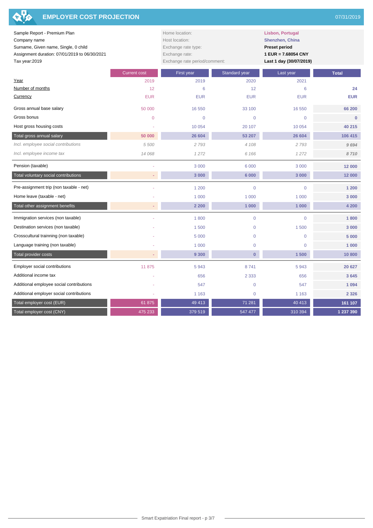| <b>EMPLOYER COST PROJECTION</b><br>210                                                                                                                 |                     |                                                                                                            |                                                                                                                      |                 | 07/31/2019   |
|--------------------------------------------------------------------------------------------------------------------------------------------------------|---------------------|------------------------------------------------------------------------------------------------------------|----------------------------------------------------------------------------------------------------------------------|-----------------|--------------|
| Sample Report - Premium Plan<br>Company name<br>Surname, Given name, Single, 0 child<br>Assignment duration: 07/01/2019 to 06/30/2021<br>Tax year:2019 |                     | Home location:<br>Host location:<br>Exchange rate type:<br>Exchange rate:<br>Exchange rate period/comment: | <b>Lisbon, Portugal</b><br>Shenzhen, China<br><b>Preset period</b><br>1 EUR = 7.68054 CNY<br>Last 1 day (30/07/2019) |                 |              |
|                                                                                                                                                        | <b>Current cost</b> | First year                                                                                                 | Standard year                                                                                                        | Last year       | <b>Total</b> |
| Year                                                                                                                                                   | 2019                | 2019                                                                                                       | 2020                                                                                                                 | 2021            |              |
| Number of months                                                                                                                                       | 12                  | 6                                                                                                          | 12                                                                                                                   | $6\phantom{1}6$ | 24           |
| Currency                                                                                                                                               | <b>EUR</b>          | <b>EUR</b>                                                                                                 | <b>EUR</b>                                                                                                           | <b>EUR</b>      | <b>EUR</b>   |
| Gross annual base salary                                                                                                                               | 50 000              | 16 550                                                                                                     | 33 100                                                                                                               | 16 550          | 66 200       |
| Gross bonus                                                                                                                                            | $\mathbf{0}$        | $\mathbf{0}$                                                                                               | $\overline{0}$                                                                                                       | $\overline{0}$  | $\mathbf{0}$ |
| Host gross housing costs                                                                                                                               |                     | 10 0 54                                                                                                    | 20 107                                                                                                               | 10 0 54         | 40 215       |
| Total gross annual salary                                                                                                                              | 50 000              | 26 604                                                                                                     | 53 207                                                                                                               | 26 604          | 106 415      |
| Incl. employee social contributions                                                                                                                    | 5 500               | 2 7 9 3                                                                                                    | 4 108                                                                                                                | 2 7 9 3         | 9694         |
| Incl. employee income tax                                                                                                                              | 14 068              | 1272                                                                                                       | 6 1 6 6                                                                                                              | 1272            | 8710         |
| Pension (taxable)                                                                                                                                      |                     | 3 0 0 0                                                                                                    | 6 0 0 0                                                                                                              | 3 0 0 0         | 12 000       |
| Total voluntary social contributions                                                                                                                   |                     | 3 000                                                                                                      | 6 000                                                                                                                | 3 000           | 12 000       |
| Pre-assignment trip (non taxable - net)                                                                                                                |                     | 1 200                                                                                                      | $\overline{0}$                                                                                                       | $\overline{0}$  | 1 200        |
| Home leave (taxable - net)                                                                                                                             |                     | 1 0 0 0                                                                                                    | 1 0 0 0                                                                                                              | 1 0 0 0         | 3 0 0 0      |
| Total other assignment benefits                                                                                                                        |                     | 2 2 0 0                                                                                                    | 1 000                                                                                                                | 1 000           | 4 200        |
| Immigration services (non taxable)                                                                                                                     |                     | 1800                                                                                                       | $\overline{0}$                                                                                                       | $\overline{0}$  | 1800         |
| Destination services (non taxable)                                                                                                                     |                     | 1500                                                                                                       | $\mathbf 0$                                                                                                          | 1500            | 3 0 0 0      |
| Crosscultural trainning (non taxable)                                                                                                                  |                     | 5 0 0 0                                                                                                    | $\mathbf 0$                                                                                                          | $\mathbf 0$     | 5 0 0 0      |
| Language training (non taxable)                                                                                                                        |                     | 1 0 0 0                                                                                                    | $\mathbf 0$                                                                                                          | $\overline{0}$  | 1 000        |
| Total provider costs                                                                                                                                   |                     | 9 3 0 0                                                                                                    | $\bf{0}$                                                                                                             | 1500            | 10800        |
| Employer social contributions                                                                                                                          | 11 875              | 5943                                                                                                       | 8741                                                                                                                 | 5943            | 20 627       |
| Additional income tax                                                                                                                                  |                     | 656                                                                                                        | 2 3 3 3                                                                                                              | 656             | 3645         |
| Additional employee social contributions                                                                                                               |                     | 547                                                                                                        | $\mathbf 0$                                                                                                          | 547             | 1 0 9 4      |
| Additional employer social contributions                                                                                                               |                     | 1 1 6 3                                                                                                    | $\mathbf 0$                                                                                                          | 1 1 6 3         | 2 3 2 6      |
| Total employer cost (EUR)                                                                                                                              | 61 875              | 49 413                                                                                                     | 71 281                                                                                                               | 40 413          | 161 107      |
| Total employer cost (CNY)                                                                                                                              | 475 233             | 379 519                                                                                                    | 547 477                                                                                                              | 310 394         | 1 237 390    |

R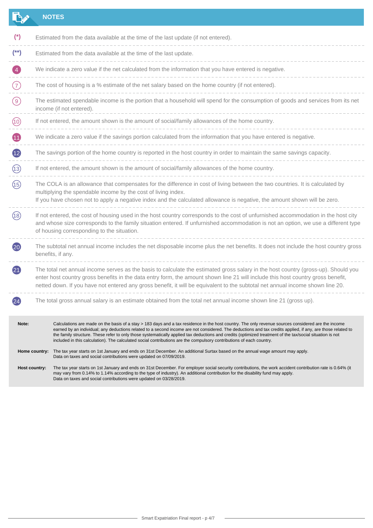|                 |                                                                                                                                                                                                                                                                                                                             | <b>NOTES</b>                                                                                                                                                                                                                                                                                                                                                                                                                                                                                                                                                                                            |  |  |  |
|-----------------|-----------------------------------------------------------------------------------------------------------------------------------------------------------------------------------------------------------------------------------------------------------------------------------------------------------------------------|---------------------------------------------------------------------------------------------------------------------------------------------------------------------------------------------------------------------------------------------------------------------------------------------------------------------------------------------------------------------------------------------------------------------------------------------------------------------------------------------------------------------------------------------------------------------------------------------------------|--|--|--|
| $^{\ast}$       |                                                                                                                                                                                                                                                                                                                             | Estimated from the data available at the time of the last update (if not entered).                                                                                                                                                                                                                                                                                                                                                                                                                                                                                                                      |  |  |  |
| $(*)$           |                                                                                                                                                                                                                                                                                                                             | Estimated from the data available at the time of the last update.                                                                                                                                                                                                                                                                                                                                                                                                                                                                                                                                       |  |  |  |
| $\overline{4}$  |                                                                                                                                                                                                                                                                                                                             | We indicate a zero value if the net calculated from the information that you have entered is negative.                                                                                                                                                                                                                                                                                                                                                                                                                                                                                                  |  |  |  |
| (7)             |                                                                                                                                                                                                                                                                                                                             | The cost of housing is a % estimate of the net salary based on the home country (if not entered).                                                                                                                                                                                                                                                                                                                                                                                                                                                                                                       |  |  |  |
| (9)             |                                                                                                                                                                                                                                                                                                                             | The estimated spendable income is the portion that a household will spend for the consumption of goods and services from its net<br>income (if not entered).                                                                                                                                                                                                                                                                                                                                                                                                                                            |  |  |  |
| (10)            |                                                                                                                                                                                                                                                                                                                             | If not entered, the amount shown is the amount of social/family allowances of the home country.                                                                                                                                                                                                                                                                                                                                                                                                                                                                                                         |  |  |  |
| Œ               |                                                                                                                                                                                                                                                                                                                             | We indicate a zero value if the savings portion calculated from the information that you have entered is negative.                                                                                                                                                                                                                                                                                                                                                                                                                                                                                      |  |  |  |
| $\overline{12}$ |                                                                                                                                                                                                                                                                                                                             | The savings portion of the home country is reported in the host country in order to maintain the same savings capacity.                                                                                                                                                                                                                                                                                                                                                                                                                                                                                 |  |  |  |
| (13)            |                                                                                                                                                                                                                                                                                                                             | If not entered, the amount shown is the amount of social/family allowances of the home country.                                                                                                                                                                                                                                                                                                                                                                                                                                                                                                         |  |  |  |
| (15)            | The COLA is an allowance that compensates for the difference in cost of living between the two countries. It is calculated by<br>multiplying the spendable income by the cost of living index.<br>If you have chosen not to apply a negative index and the calculated allowance is negative, the amount shown will be zero. |                                                                                                                                                                                                                                                                                                                                                                                                                                                                                                                                                                                                         |  |  |  |
| (18)            | If not entered, the cost of housing used in the host country corresponds to the cost of unfurnished accommodation in the host city<br>and whose size corresponds to the family situation entered. If unfurnished accommodation is not an option, we use a different type<br>of housing corresponding to the situation.      |                                                                                                                                                                                                                                                                                                                                                                                                                                                                                                                                                                                                         |  |  |  |
| $\overline{20}$ |                                                                                                                                                                                                                                                                                                                             | The subtotal net annual income includes the net disposable income plus the net benefits. It does not include the host country gross<br>benefits, if any.                                                                                                                                                                                                                                                                                                                                                                                                                                                |  |  |  |
| (21)            |                                                                                                                                                                                                                                                                                                                             | The total net annual income serves as the basis to calculate the estimated gross salary in the host country (gross-up). Should you<br>enter host country gross benefits in the data entry form, the amount shown line 21 will include this host country gross benefit,<br>netted down. If you have not entered any gross benefit, it will be equivalent to the subtotal net annual income shown line 20.                                                                                                                                                                                                |  |  |  |
|                 |                                                                                                                                                                                                                                                                                                                             | The total gross annual salary is an estimate obtained from the total net annual income shown line 21 (gross up).                                                                                                                                                                                                                                                                                                                                                                                                                                                                                        |  |  |  |
| Note:           |                                                                                                                                                                                                                                                                                                                             | Calculations are made on the basis of a stay > 183 days and a tax residence in the host country. The only revenue sources considered are the income<br>earned by an individual; any deductions related to a second income are not considered. The deductions and tax credits applied, if any, are those related to<br>the family structure. These refer to only those systematically applied tax deductions and credits (optimized treatment of the tax/social situation is not<br>included in this calculation). The calculated social contributions are the compulsory contributions of each country. |  |  |  |
|                 |                                                                                                                                                                                                                                                                                                                             | Home country: The tax year starts on 1st January and ends on 31st December. An additional Surtax based on the annual wage amount may apply.<br>Data on taxes and social contributions were updated on 07/09/2019.                                                                                                                                                                                                                                                                                                                                                                                       |  |  |  |
|                 | Host country:                                                                                                                                                                                                                                                                                                               | The tax year starts on 1st January and ends on 31st December. For employer social security contributions, the work accident contribution rate is 0.64% (it<br>may vary from 0.14% to 1.14% according to the type of industry). An additional contribution for the disability fund may apply.<br>Data on taxes and social contributions were updated on 03/28/2019.                                                                                                                                                                                                                                      |  |  |  |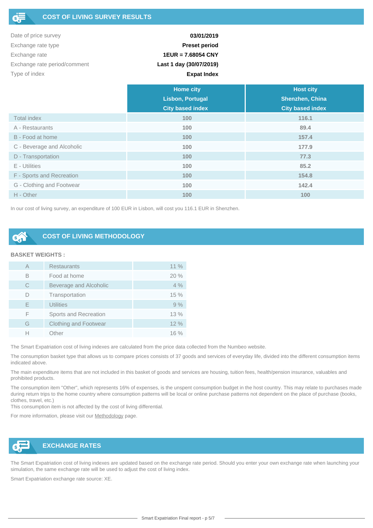| Date of price survey         | 03/01/2019              |
|------------------------------|-------------------------|
| Exchange rate type           | <b>Preset period</b>    |
| Exchange rate                | $1EUR = 7.68054 CNY$    |
| Exchange rate period/comment | Last 1 day (30/07/2019) |
| Type of index                | <b>Expat Index</b>      |

|                            | <b>Home city</b>        | <b>Host city</b>        |
|----------------------------|-------------------------|-------------------------|
|                            | <b>Lisbon, Portugal</b> | Shenzhen, China         |
|                            | <b>City based index</b> | <b>City based index</b> |
| <b>Total index</b>         | 100                     | 116.1                   |
| A - Restaurants            | 100                     | 89.4                    |
| B - Food at home           | 100                     | 157.4                   |
| C - Beverage and Alcoholic | 100                     | 177.9                   |
| D - Transportation         | 100                     | 77.3                    |
| E - Utilities              | 100                     | 85.2                    |
| F - Sports and Recreation  | 100                     | 154.8                   |
| G - Clothing and Footwear  | 100                     | 142.4                   |
| H - Other                  | 100                     | 100                     |

In our cost of living survey, an expenditure of 100 EUR in Lisbon, will cost you 116.1 EUR in Shenzhen.

## **COST OF LIVING METHODOLOGY**

### **BASKET WEIGHTS :**

| А | <b>Restaurants</b>           | $11\%$ |
|---|------------------------------|--------|
| B | Food at home                 | 20%    |
| C | Beverage and Alcoholic       | 4%     |
|   | Transportation               | 15%    |
| E | <b>Utilities</b>             | 9%     |
| F | Sports and Recreation        | 13%    |
| G | <b>Clothing and Footwear</b> | 12%    |
|   | Other                        | $16\%$ |

The Smart Expatriation cost of living indexes are calculated from the price data collected from the Numbeo website.

The consumption basket type that allows us to compare prices consists of 37 goods and services of everyday life, divided into the different consumption items indicated above.

The main expenditure items that are not included in this basket of goods and services are housing, tuition fees, health/pension insurance, valuables and prohibited products.

The consumption item "Other", which represents 16% of expenses, is the unspent consumption budget in the host country. This may relate to purchases made during return trips to the home country where consumption patterns will be local or online purchase patterns not dependent on the place of purchase (books, clothes, travel, etc.)

This consumption item is not affected by the cost of living differential.

For more information, please visit our [Methodology](https://www.smart-expatriation.com/fr/content/13-methodologie-calcul-remuneration-package-salaire-expatries) page.



## **EXCHANGE RATES**

The Smart Expatriation cost of living indexes are updated based on the exchange rate period. Should you enter your own exchange rate when launching your simulation, the same exchange rate will be used to adjust the cost of living index.

Smart Expatriation exchange rate source: XE.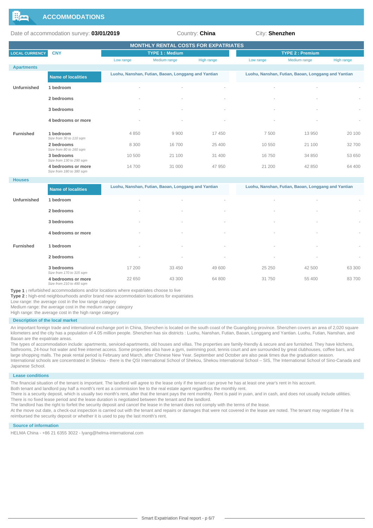

Date of accommodation survey: **03/01/2019** Country: **China** City: **Shenzhen** 

| <b>MONTHLY RENTAL COSTS FOR EXPATRIATES</b> |                                                |                       |                                                     |                          |                          |                                                     |            |  |  |
|---------------------------------------------|------------------------------------------------|-----------------------|-----------------------------------------------------|--------------------------|--------------------------|-----------------------------------------------------|------------|--|--|
| <b>LOCAL CURRENCY</b>                       | <b>CNY</b>                                     | <b>TYPE 1: Medium</b> |                                                     |                          |                          | <b>TYPE 2: Premium</b>                              |            |  |  |
|                                             |                                                | Low range             | Medium range                                        | High range               | Low range                | Medium range                                        | High range |  |  |
| <b>Apartments</b>                           |                                                |                       |                                                     |                          |                          |                                                     |            |  |  |
|                                             | <b>Name of localities</b>                      |                       | Luohu, Nanshan, Futian, Baoan, Longgang and Yantian |                          |                          | Luohu, Nanshan, Futian, Baoan, Longgang and Yantian |            |  |  |
| Unfurnished                                 | 1 bedroom                                      |                       | $\overline{\phantom{a}}$                            |                          | $\overline{\phantom{a}}$ |                                                     |            |  |  |
|                                             | 2 bedrooms                                     |                       | $\overline{\phantom{a}}$                            |                          |                          |                                                     | $\sim$     |  |  |
|                                             | 3 bedrooms                                     |                       | $\overline{\phantom{a}}$                            |                          |                          |                                                     |            |  |  |
|                                             | 4 bedrooms or more                             | $\sim$                | $\overline{\phantom{a}}$                            | $\overline{\phantom{a}}$ |                          |                                                     | $\sim$     |  |  |
| <b>Furnished</b>                            | 1 bedroom<br>Size from 30 to 110 sqm           | 4850                  | 9900                                                | 17450                    | 7500                     | 13 950                                              | 20 100     |  |  |
|                                             | 2 bedrooms<br>Size from 80 to 160 sqm          | 8 3 0 0               | 16700                                               | 25 400                   | 10 550                   | 21 100                                              | 32700      |  |  |
|                                             | 3 bedrooms<br>Size from 130 to 290 sqm         | 10 500                | 21 100                                              | 31 400                   | 16750                    | 34 850                                              | 53 650     |  |  |
|                                             | 4 bedrooms or more<br>Size from 180 to 380 sqm | 14700                 | 31 000                                              | 47 950                   | 21 200                   | 42 850                                              | 64 400     |  |  |

#### **Houses**

|                  | <b>Name of localities</b>                      | Luohu, Nanshan, Futian, Baoan, Longgang and Yantian |                          |        | Luohu, Nanshan, Futian, Baoan, Longgang and Yantian |                          |                          |
|------------------|------------------------------------------------|-----------------------------------------------------|--------------------------|--------|-----------------------------------------------------|--------------------------|--------------------------|
| Unfurnished      | 1 bedroom                                      | $\sim$                                              | $\sim$                   | $\sim$ | $\sim$                                              | $\overline{\phantom{a}}$ | $\overline{\phantom{a}}$ |
|                  | 2 bedrooms                                     | $\sim$                                              | $\sim$                   | $\sim$ | $\sim$                                              | $\sim$                   | $\sim$                   |
|                  | 3 bedrooms                                     | $\sim$                                              | $\sim$                   | $\sim$ | $\sim$                                              | $\overline{\phantom{a}}$ | $\sim$                   |
|                  | 4 bedrooms or more                             | $\sim$                                              | $\sim$                   | $\sim$ | $\sim$                                              | $\overline{\phantom{a}}$ | $\overline{\phantom{a}}$ |
| <b>Furnished</b> | 1 bedroom                                      | $\overline{\phantom{a}}$                            | $\overline{\phantom{a}}$ | $\sim$ | $\sim$                                              | $\overline{\phantom{a}}$ | $\sim$                   |
|                  | 2 bedrooms                                     | $\overline{\phantom{a}}$                            | $\sim$                   | $\sim$ | $\sim$                                              | $\overline{\phantom{a}}$ | $\sim$                   |
|                  | 3 bedrooms<br>Size from 170 to 315 sqm         | 17 200                                              | 33 450                   | 49 600 | 25 250                                              | 42 500                   | 63 300                   |
|                  | 4 bedrooms or more<br>Size from 210 to 490 sqm | 22 650                                              | 43 300                   | 64 800 | 31 750                                              | 55 400                   | 83700                    |

**Type 1 :** refurbished accommodations and/or locations where expatriates choose to live

**Type 2 :** high-end neighbourhoods and/or brand new accommodation locations for expatriates

Low range: the average cost in the low range category

Medium range: the average cost in the medium range category

High range: the average cost in the high range category

#### **Description of the local market**

An important foreign trade and international exchange port in China, Shenzhen is located on the south coast of the Guangdong province. Shenzhen covers an area of 2,020 square kilometers and the city has a population of 4.05 million people. Shenzhen has six districts : Luohu, Nanshan, Futian, Baoan, Longgang and Yantian. Luohu, Futian, Nanshan, and Baoan are the expatriate areas.

The types of accommodation include: apartments, serviced-apartments, old houses and villas. The properties are family-friendly & secure and are furnished. They have kitchens, bathrooms, 24-hour hot water and free internet access. Some properties also have a gym, swimming pool, tennis court and are surrounded by great clubhouses, coffee bars, and large shopping malls. The peak rental period is February and March, after Chinese New Year. September and October are also peak times due the graduation season. International schools are concentrated in Shekou - there is the QSI International School of Shekou, Shekou International School – SIS, The International School of Sino-Canada and Japanese School.

#### **Lease conditions**

The financial situation of the tenant is important. The landlord will agree to the lease only if the tenant can prove he has at least one year's rent in his account.

Both tenant and landlord pay half a month's rent as a commission fee to the real estate agent regardless the monthly rent.

There is a security deposit, which is usually two month's rent, after that the tenant pays the rent monthly. Rent is paid in yuan, and in cash, and does not usually include utilities. There is no fixed lease period and the lease duration is negotiated between the tenant and the landlord.

The landlord has the right to forfeit the security deposit and cancel the lease in the tenant does not comply with the terms of the lease.

At the move out date, a check-out inspection is carried out with the tenant and repairs or damages that were not covered in the lease are noted. The tenant may negotiate if he is reimbursed the security deposit or whether it is used to pay the last month's rent.

#### **Source of information**

HELMA China - +86 21 6355 3022 - lyang@helma-international.com